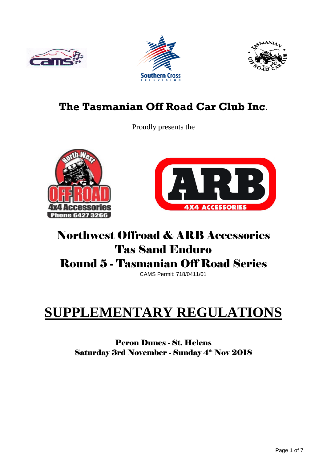





## **The Tasmanian Off Road Car Club Inc.**

Proudly presents the





## Northwest Offroad & ARB Accessories Tas Sand Enduro Round 5 - Tasmanian Off Road Series

CAMS Permit: 718/0411/01

# **SUPPLEMENTARY REGULATIONS**

Peron Dunes - St. Helens Saturday 3rd November - Sunday 4<sup>th</sup> Nov 2018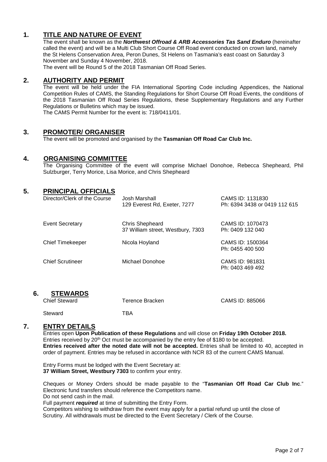#### **1. TITLE AND NATURE OF EVENT**

The event shall be known as the *Northwest Offroad & ARB Accessories Tas Sand Enduro* (hereinafter called the event) and will be a Multi Club Short Course Off Road event conducted on crown land, namely the St Helens Conservation Area, Peron Dunes, St Helens on Tasmania's east coast on Saturday 3 November and Sunday 4 November, 2018.

The event will be Round 5 of the 2018 Tasmanian Off Road Series.

#### **2. AUTHORITY AND PERMIT**

The event will be held under the FIA International Sporting Code including Appendices, the National Competition Rules of CAMS, the Standing Regulations for Short Course Off Road Events, the conditions of the 2018 Tasmanian Off Road Series Regulations, these Supplementary Regulations and any Further Regulations or Bulletins which may be issued.

The CAMS Permit Number for the event is: 718/0411/01.

#### **3. PROMOTER/ ORGANISER**

The event will be promoted and organised by the **Tasmanian Off Road Car Club Inc.**

#### **4. ORGANISING COMMITTEE**

The Organising Committee of the event will comprise Michael Donohoe, Rebecca Shepheard, Phil Sulzburger, Terry Morice, Lisa Morice, and Chris Shepheard

| 5. | <b>PRINCIPAL OFFICIALS</b><br>Director/Clerk of the Course | Josh Marshall<br>129 Everest Rd, Exeter, 7277               | CAMS ID: 1131830<br>Ph: 6394 3438 or 0419 112 615 |
|----|------------------------------------------------------------|-------------------------------------------------------------|---------------------------------------------------|
|    | <b>Event Secretary</b>                                     | <b>Chris Shepheard</b><br>37 William street, Westbury, 7303 | CAMS ID: 1070473<br>Ph: 0409 132 040              |
|    | <b>Chief Timekeeper</b>                                    | Nicola Hoyland                                              | CAMS ID: 1500364<br>Ph: 0455 400 500              |
|    | <b>Chief Scrutineer</b>                                    | Michael Donohoe                                             | CAMS ID: 981831<br>Ph: 0403 469 492               |

#### **6. STEWARDS**

| <b>Chief Steward</b> | Terence Bracken | CAMS ID: 885066 |
|----------------------|-----------------|-----------------|
| Steward              | TBA             |                 |

#### **7. ENTRY DETAILS**

Entries open **Upon Publication of these Regulations** and will close on **Friday 19th October 2018.** Entries received by 20th Oct must be accompanied by the entry fee of \$180 to be accepted. **Entries received after the noted date will not be accepted.** Entries shall be limited to 40, accepted in order of payment. Entries may be refused in accordance with NCR 83 of the current CAMS Manual.

Entry Forms must be lodged with the Event Secretary at: **37 William Street, Westbury 7303** to confirm your entry.

Cheques or Money Orders should be made payable to the "**Tasmanian Off Road Car Club Inc**." Electronic fund transfers should reference the Competitors name.

Do not send cash in the mail.

Full payment *required* at time of submitting the Entry Form.

Competitors wishing to withdraw from the event may apply for a partial refund up until the close of Scrutiny. All withdrawals must be directed to the Event Secretary / Clerk of the Course.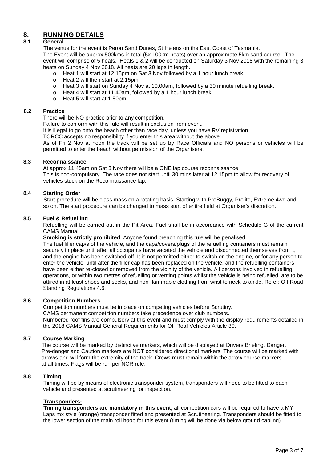### **8. RUNNING DETAILS**

#### **8.1 General**

The venue for the event is Peron Sand Dunes, St Helens on the East Coast of Tasmania. The Event will be approx 500kms in total (5x 100km heats) over an approximate 5km sand course. The event will comprise of 5 heats. Heats 1 & 2 will be conducted on Saturday 3 Nov 2018 with the remaining 3 heats on Sunday 4 Nov 2018. All heats are 20 laps in length.

- o Heat 1 will start at 12.15pm on Sat 3 Nov followed by a 1 hour lunch break.
- $\circ$  Heat 2 will then start at 2.15pm
- o Heat 3 will start on Sunday 4 Nov at 10.00am, followed by a 30 minute refuelling break.
- o Heat 4 will start at 11.40am, followed by a 1 hour lunch break.
- o Heat 5 will start at 1.50pm.

#### **8.2 Practice**

There will be NO practice prior to any competition.

Failure to conform with this rule will result in exclusion from event.

It is illegal to go onto the beach other than race day, unless you have RV registration.

TORCC accepts no responsibility if you enter this area without the above.

As of Fri 2 Nov at noon the track will be set up by Race Officials and NO persons or vehicles will be permitted to enter the beach without permission of the Organisers.

#### **8.3 Reconnaissance**

At approx 11.45am on Sat 3 Nov there will be a ONE lap course reconnaissance. This is non-compulsory. The race does not start until 30 mins later at 12.15pm to allow for recovery of vehicles stuck on the Reconnaissance lap.

#### **8.4 Starting Order**

Start procedure will be class mass on a rotating basis. Starting with ProBuggy, Prolite, Extreme 4wd and so on. The start procedure can be changed to mass start of entire field at Organiser's discretion.

#### **8.5 Fuel & Refuelling**

Refuelling will be carried out in the Pit Area. Fuel shall be in accordance with Schedule G of the current CAMS Manual.

**Smoking is strictly prohibited**. Anyone found breaching this rule will be penalised.

The fuel filler cap/s of the vehicle, and the caps/covers/plugs of the refuelling containers must remain securely in place until after all occupants have vacated the vehicle and disconnected themselves from it, and the engine has been switched off. It is not permitted either to switch on the engine, or for any person to enter the vehicle, until after the filler cap has been replaced on the vehicle, and the refuelling containers have been either re-closed or removed from the vicinity of the vehicle. All persons involved in refuelling operations, or within two metres of refuelling or venting points whilst the vehicle is being refuelled, are to be attired in at least shoes and socks, and non-flammable clothing from wrist to neck to ankle. Refer: Off Road Standing Regulations 4.6.

#### **8.6 Competition Numbers**

 Competition numbers must be in place on competing vehicles before Scrutiny. CAMS permanent competition numbers take precedence over club numbers. Numbered roof fins are compulsory at this event and must comply with the display requirements detailed in the 2018 CAMS Manual General Requirements for Off Roaf Vehicles Article 30.

#### **8.7 Course Marking**

 The course will be marked by distinctive markers, which will be displayed at Drivers Briefing. Danger, Pre-danger and Caution markers are NOT considered directional markers. The course will be marked with arrows and will form the extremity of the track. Crews must remain within the arrow course markers at all times. Flags will be run per NCR rule.

#### **8.8 Timing**

Timing will be by means of electronic transponder system, transponders will need to be fitted to each vehicle and presented at scrutineering for inspection.

#### **Transponders:**

**Timing transponders are mandatory in this event,** all competition cars will be required to have a MY Laps mx style (orange) transponder fitted and presented at Scrutineering. Transponders should be fitted to the lower section of the main roll hoop for this event (timing will be done via below ground cabling).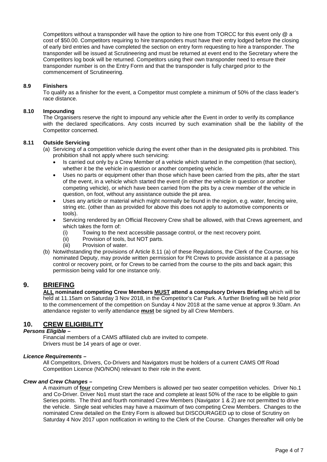Competitors without a transponder will have the option to hire one from TORCC for this event only @ a cost of \$50.00. Competitors requiring to hire transponders must have their entry lodged before the closing of early bird entries and have completed the section on entry form requesting to hire a transponder. The transponder will be issued at Scrutineering and must be returned at event end to the Secretary where the Competitors log book will be returned. Competitors using their own transponder need to ensure their transponder number is on the Entry Form and that the transponder is fully charged prior to the commencement of Scrutineering.

#### **8.9 Finishers**

To qualify as a finisher for the event, a Competitor must complete a minimum of 50% of the class leader's race distance.

#### **8.10 Impounding**

The Organisers reserve the right to impound any vehicle after the Event in order to verify its compliance with the declared specifications. Any costs incurred by such examination shall be the liability of the Competitor concerned.

#### **8.11 Outside Servicing**

- (a) Servicing of a competition vehicle during the event other than in the designated pits is prohibited. This prohibition shall not apply where such servicing:
	- Is carried out only by a Crew Member of a vehicle which started in the competition (that section), whether it be the vehicle in question or another competing vehicle.
	- Uses no parts or equipment other than those which have been carried from the pits, after the start of the event, in a vehicle which started the event (in either the vehicle in question or another competing vehicle), or which have been carried from the pits by a crew member of the vehicle in question, on foot, without any assistance outside the pit area.
	- Uses any article or material which might normally be found in the region, e.g. water, fencing wire, string etc. (other than as provided for above this does not apply to automotive components or tools).
	- Servicing rendered by an Official Recovery Crew shall be allowed, with that Crews agreement, and which takes the form of:
		- (i) Towing to the next accessible passage control, or the next recovery point.
		- (ii) Provision of tools, but NOT parts.<br>(iii) Provision of water.
		- Provision of water.
- (b) Notwithstanding the provisions of Article 8.11 (a) of these Regulations, the Clerk of the Course, or his nominated Deputy, may provide written permission for Pit Crews to provide assistance at a passage control or recovery point, or for Crews to be carried from the course to the pits and back again; this permission being valid for one instance only.

#### **9. BRIEFING**

**ALL nominated competing Crew Members MUST attend a compulsory Drivers Briefing** which will be held at 11.15am on Saturday 3 Nov 2018, in the Competitor's Car Park. A further Briefing will be held prior to the commencement of the competition on Sunday 4 Nov 2018 at the same venue at approx 9.30am. An attendance register to verify attendance **must** be signed by all Crew Members.

#### **10. CREW ELIGIBILITY**

#### *Persons Eligible –*

Financial members of a CAMS affiliated club are invited to compete. Drivers must be 14 years of age or over.

#### *Licence Requirements –*

All Competitors, Drivers, Co-Drivers and Navigators must be holders of a current CAMS Off Road Competition Licence (NO/NON) relevant to their role in the event.

#### *Crew and Crew Changes –*

A maximum of **four** competing Crew Members is allowed per two seater competition vehicles. Driver No.1 and Co-Driver. Driver No1 must start the race and complete at least 50% of the race to be eligible to gain Series points. The third and fourth nominated Crew Members (Navigator 1 & 2) are not permitted to drive the vehicle. Single seat vehicles may have a maximum of two competing Crew Members. Changes to the nominated Crew detailed on the Entry Form is allowed but DISCOURAGED up to close of Scrutiny on Saturday 4 Nov 2017 upon notification in writing to the Clerk of the Course. Changes thereafter will only be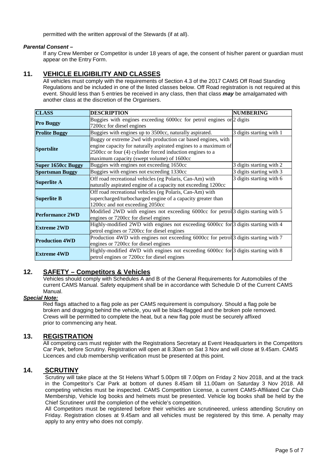permitted with the written approval of the Stewards (if at all).

#### *Parental Consent –*

If any Crew Member or Competitor is under 18 years of age, the consent of his/her parent or guardian must appear on the Entry Form.

#### **11. VEHICLE ELIGIBILITY AND CLASSES**

All vehicles must comply with the requirements of Section 4.3 of the 2017 CAMS Off Road Standing Regulations and be included in one of the listed classes below. Off Road registration is not required at this event. Should less than 5 entries be received in any class, then that class *may* be amalgamated with another class at the discretion of the Organisers.

| <b>CLASS</b>              | <b>DESCRIPTION</b>                                                                       | <b>NUMBERING</b>         |
|---------------------------|------------------------------------------------------------------------------------------|--------------------------|
|                           | Buggies with engines exceeding 6000cc for petrol engines or 2 digits                     |                          |
| <b>Pro Buggy</b>          | 7200cc for diesel engines                                                                |                          |
| <b>Prolite Buggy</b>      | Buggies with engines up to 3500cc, naturally aspirated.                                  | 3 digits starting with 1 |
|                           | Buggy or extreme 2wd with production car based engines, with                             |                          |
|                           | engine capacity for naturally aspirated engines to a maximum of                          |                          |
| <b>Sportslite</b>         | 2500cc or four (4) cylinder forced induction engines to a                                |                          |
|                           | maximum capacity (swept volume) of 1600cc                                                |                          |
| <b>Super 1650cc Buggy</b> | Buggies with engines not exceeding 1650cc                                                | 3 digits starting with 2 |
| <b>Sportsman Buggy</b>    | Buggies with engines not exceeding 1330cc                                                | 3 digits starting with 3 |
|                           | Off road recreational vehicles (eg Polaris, Can-Am) with                                 | 3 digits starting with 6 |
| <b>Superlite A</b>        | naturally aspirated engine of a capacity not exceeding 1200cc                            |                          |
|                           | Off road recreational vehicles (eg Polaris, Can-Am) with                                 |                          |
| <b>Superlite B</b>        | supercharged/turbocharged engine of a capacity greater than                              |                          |
|                           | 1200cc and not exceeding 2050cc                                                          |                          |
| <b>Performance 2WD</b>    | Modified 2WD with engines not exceeding 6000cc for petrol 3 digits starting with 5       |                          |
|                           | engines or 7200cc for diesel engines                                                     |                          |
|                           | Highly-modified 2WD with engines not exceeding 6000cc for $\beta$ digits starting with 4 |                          |
| <b>Extreme 2WD</b>        | petrol engines or 7200cc for diesel engines                                              |                          |
| <b>Production 4WD</b>     | Production 4WD with engines not exceeding 6000cc for petrol 3 digits starting with 7     |                          |
|                           | engines or 7200cc for diesel engines                                                     |                          |
|                           | Highly-modified 4WD with engines not exceeding 6000cc for 3 digits starting with 8       |                          |
| <b>Extreme 4WD</b>        | petrol engines or 7200cc for diesel engines                                              |                          |

#### **12. SAFETY – Competitors & Vehicles**

Vehicles should comply with Schedules A and B of the General Requirements for Automobiles of the current CAMS Manual. Safety equipment shall be in accordance with Schedule D of the Current CAMS Manual.

#### *Special Note:*

Red flags attached to a flag pole as per CAMS requirement is compulsory. Should a flag pole be broken and dragging behind the vehicle, you will be black-flagged and the broken pole removed. Crews will be permitted to complete the heat, but a new flag pole must be securely affixed prior to commencing any heat.

#### **13. REGISTRATION**

All competing cars must register with the Registrations Secretary at Event Headquarters in the Competitors Car Park, before Scrutiny. Registration will open at 8.30am on Sat 3 Nov and will close at 9.45am. CAMS Licences and club membership verification must be presented at this point.

#### **14. SCRUTINY**

Scrutiny will take place at the St Helens Wharf 5.00pm till 7.00pm on Friday 2 Nov 2018, and at the track in the Competitor's Car Park at bottom of dunes 8.45am till 11.00am on Saturday 3 Nov 2018. All competing vehicles must be inspected. CAMS Competition License, a current CAMS-Affiliated Car Club Membership, Vehicle log books and helmets must be presented. Vehicle log books shall be held by the Chief Scrutineer until the completion of the vehicle's competition.

All Competitors must be registered before their vehicles are scrutineered, unless attending Scrutiny on Friday. Registration closes at 9.45am and all vehicles must be registered by this time. A penalty may apply to any entry who does not comply.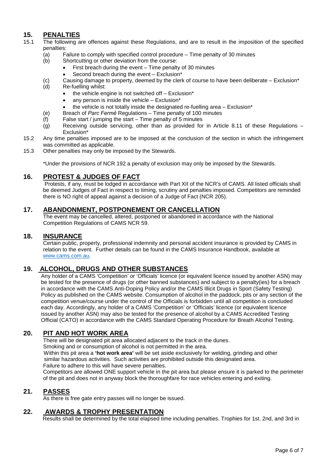### **15. PENALTIES**

- 15.1 The following are offences against these Regulations, and are to result in the imposition of the specified penalties:
	- (a) Failure to comply with specified control procedure Time penalty of 30 minutes (b) Shortcutting or other deviation from the course:
		- Shortcutting or other deviation from the course:
			- First breach during the event Time penalty of 30 minutes
			- Second breach during the event Exclusion\*
	- (c) Causing damage to property, deemed by the clerk of course to have been deliberate Exclusion\* (d) Re-fuelling whilst:
		- $\bullet$  the vehicle engine is not switched off Exclusion\*
		- any person is inside the vehicle Exclusion\*
		- the vehicle is not totally inside the designated re-fuelling area  $-$  Exclusion\*
	- (e) Breach of *Parc Fermẻ* Regulations Time penalty of 100 minutes
	- False start / jumping the start Time penalty of 5 minutes
	- (g) Receiving outside servicing, other than as provided for in Article 8.11 of these Regulations Exclusion\*
- 15.2 Any time penalties imposed are to be imposed at the conclusion of the section in which the infringement was committed as applicable.
- 15.3 Other penalties may only be imposed by the Stewards.

\*Under the provisions of NCR 192 a penalty of exclusion may only be imposed by the Stewards.

#### **16. PROTEST & JUDGES OF FACT**

Protests, if any, must be lodged in accordance with Part XII of the NCR's of CAMS. All listed officials shall be deemed Judges of Fact in respect to timing, scrutiny and penalties imposed. Competitors are reminded there is NO right of appeal against a decision of a Judge of Fact (NCR 205).

#### **17. ABANDONMENT, POSTPONEMENT OR CANCELLATION**

The event may be cancelled, altered, postponed or abandoned in accordance with the National Competition Regulations of CAMS NCR 59.

#### **18. INSURANCE**

Certain public, property, professional indemnity and personal accident insurance is provided by CAMS in relation to the event. Further details can be found in the CAMS Insurance Handbook, available at [www.cams.com.au.](http://www.cams.com.au/)

#### **19. ALCOHOL, DRUGS AND OTHER SUBSTANCES**

Any holder of a CAMS 'Competition' or 'Officials' licence (or equivalent licence issued by another ASN) may be tested for the presence of drugs (or other banned substances) and subject to a penalty(ies) for a breach in accordance with the CAMS Anti-Doping Policy and/or the CAMS Illicit Drugs in Sport (Safety Testing) Policy as published on the CAMS website. Consumption of alcohol in the paddock, pits or any section of the competition venue/course under the control of the Officials is forbidden until all competition is concluded each day. Accordingly, any holder of a CAMS 'Competition' or 'Officials' licence (or equivalent licence issued by another ASN) may also be tested for the presence of alcohol by a CAMS Accredited Testing Official (CATO) in accordance with the CAMS Standard Operating Procedure for Breath Alcohol Testing.

#### **20. PIT AND HOT WORK AREA**

There will be designated pit area allocated adjacent to the track in the dunes.

Smoking and or consumption of alcohol is not permitted in the area.

 Within this pit area a **'hot work area'** will be set aside exclusively for welding, grinding and other similar hazardous activities. Such activities are prohibited outside this designated area. Failure to adhere to this will have severe penalties.

Competitors are allowed ONE support vehicle in the pit area but please ensure it is parked to the perimeter of the pit and does not in anyway block the thoroughfare for race vehicles entering and exiting.

#### **21. PASSES**

As there is free gate entry passes will no longer be issued.

#### **22. AWARDS & TROPHY PRESENTATION**

Results shall be determined by the total elapsed time including penalties. Trophies for 1st. 2nd, and 3rd in